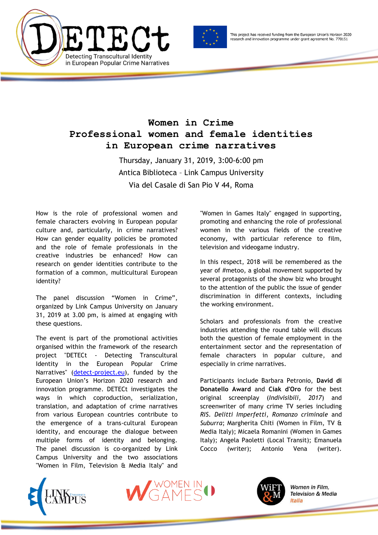



This project has received funding from the European Union's Horizon 2020 research and innovation programme under grant agreement No. 770151

## **Women in Crime Professional women and female identities in European crime narratives**

Thursday, January 31, 2019, 3:00-6:00 pm Antica Biblioteca – Link Campus University Via del Casale di San Pio V 44, Roma

How is the role of professional women and female characters evolving in European popular culture and, particularly, in crime narratives? How can gender equality policies be promoted and the role of female professionals in the creative industries be enhanced? How can research on gender identities contribute to the formation of a common, multicultural European identity?

The panel discussion "Women in Crime", organized by Link Campus University on January 31, 2019 at 3.00 pm, is aimed at engaging with these questions.

The event is part of the promotional activities organised within the framework of the research project "DETECt - Detecting Transcultural Identity in the European Popular Crime Narratives" [\(detect-project.eu\)](http://detect-project.eu/), funded by the European Union's Horizon 2020 research and innovation programme. DETECt investigates the ways in which coproduction, serialization, translation, and adaptation of crime narratives from various European countries contribute to the emergence of a trans-cultural European identity, and encourage the dialogue between multiple forms of identity and belonging. The panel discussion is co-organized by Link Campus University and the two associations "Women in Film, Television & Media Italy" and

"Women in Games Italy" engaged in supporting, promoting and enhancing the role of professional women in the various fields of the creative economy, with particular reference to film, television and videogame industry.

In this respect, 2018 will be remembered as the year of #metoo, a global movement supported by several protagonists of the show biz who brought to the attention of the public the issue of gender discrimination in different contexts, including the working environment.

Scholars and professionals from the creative industries attending the round table will discuss both the question of female employment in the entertainment sector and the representation of female characters in popular culture, and especially in crime narratives.

Participants include Barbara Petronio, **David di Donatello Award** and **Ciak d'Oro** for the best original screenplay (*Indivisibili, 2017*) and screenwriter of many crime TV series including *RIS*. *Delitti Imperfetti*, *Romanzo criminale* and *Suburra*; Margherita Chiti (Women in Film, TV & Media Italy); Micaela Romanini (Women in Games Italy); Angela Paoletti (Local Transit); Emanuela Cocco (writer); Antonio Vena (writer).







Women in Film, **Television & Media** Italia